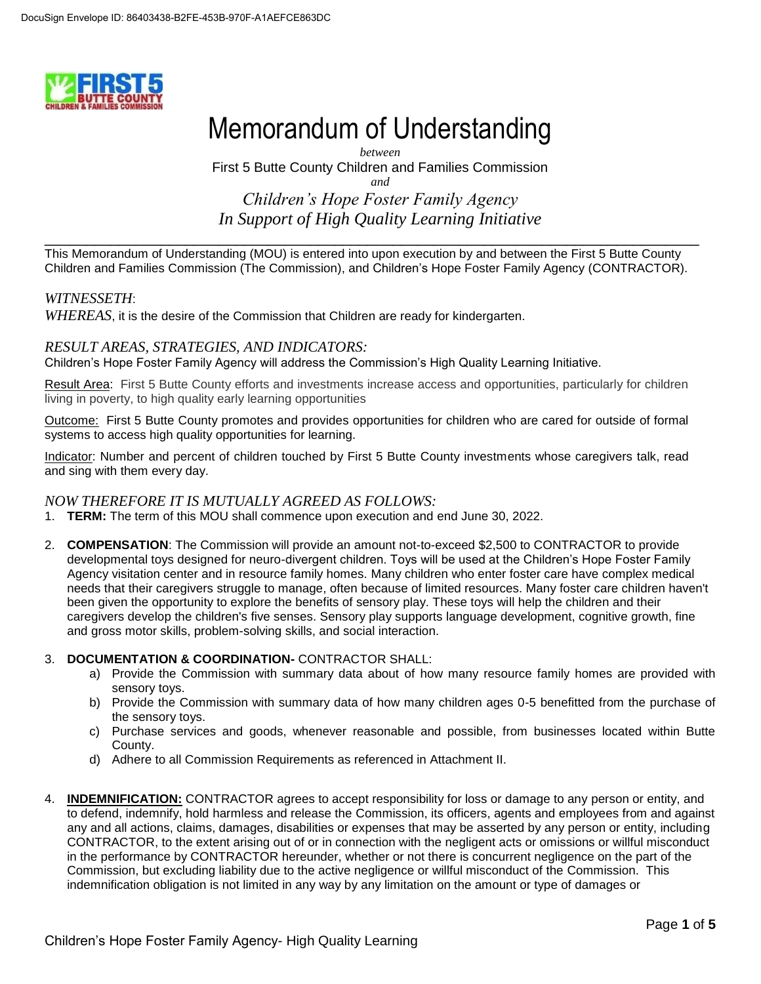

# Memorandum of Understanding

*between* First 5 Butte County Children and Families Commission *and Children's Hope Foster Family Agency In Support of High Quality Learning Initiative*

\_\_\_\_\_\_\_\_\_\_\_\_\_\_\_\_\_\_\_\_\_\_\_\_\_\_\_\_\_\_\_\_\_\_\_\_\_\_\_\_\_\_\_\_\_\_\_\_\_\_\_\_\_\_\_\_\_\_\_\_\_\_\_\_\_\_\_\_\_\_\_\_\_\_\_\_\_\_\_ This Memorandum of Understanding (MOU) is entered into upon execution by and between the First 5 Butte County Children and Families Commission (The Commission), and Children's Hope Foster Family Agency (CONTRACTOR).

## *WITNESSETH*:

*WHEREAS*, it is the desire of the Commission that Children are ready for kindergarten.

#### *RESULT AREAS, STRATEGIES, AND INDICATORS:*

Children's Hope Foster Family Agency will address the Commission's High Quality Learning Initiative.

Result Area: First 5 Butte County efforts and investments increase access and opportunities, particularly for children living in poverty, to high quality early learning opportunities

Outcome: First 5 Butte County promotes and provides opportunities for children who are cared for outside of formal systems to access high quality opportunities for learning.

Indicator: Number and percent of children touched by First 5 Butte County investments whose caregivers talk, read and sing with them every day.

## *NOW THEREFORE IT IS MUTUALLY AGREED AS FOLLOWS:*

- 1. **TERM:** The term of this MOU shall commence upon execution and end June 30, 2022.
- 2. **COMPENSATION**: The Commission will provide an amount not-to-exceed \$2,500 to CONTRACTOR to provide developmental toys designed for neuro-divergent children. Toys will be used at the Children's Hope Foster Family Agency visitation center and in resource family homes. Many children who enter foster care have complex medical needs that their caregivers struggle to manage, often because of limited resources. Many foster care children haven't been given the opportunity to explore the benefits of sensory play. These toys will help the children and their caregivers develop the children's five senses. Sensory play supports language development, cognitive growth, fine and gross motor skills, problem-solving skills, and social interaction.

#### 3. **DOCUMENTATION & COORDINATION-** CONTRACTOR SHALL:

- a) Provide the Commission with summary data about of how many resource family homes are provided with sensory toys.
- b) Provide the Commission with summary data of how many children ages 0-5 benefitted from the purchase of the sensory toys.
- c) Purchase services and goods, whenever reasonable and possible, from businesses located within Butte County.
- d) Adhere to all Commission Requirements as referenced in Attachment II.
- 4. **INDEMNIFICATION:** CONTRACTOR agrees to accept responsibility for loss or damage to any person or entity, and to defend, indemnify, hold harmless and release the Commission, its officers, agents and employees from and against any and all actions, claims, damages, disabilities or expenses that may be asserted by any person or entity, including CONTRACTOR, to the extent arising out of or in connection with the negligent acts or omissions or willful misconduct in the performance by CONTRACTOR hereunder, whether or not there is concurrent negligence on the part of the Commission, but excluding liability due to the active negligence or willful misconduct of the Commission. This indemnification obligation is not limited in any way by any limitation on the amount or type of damages or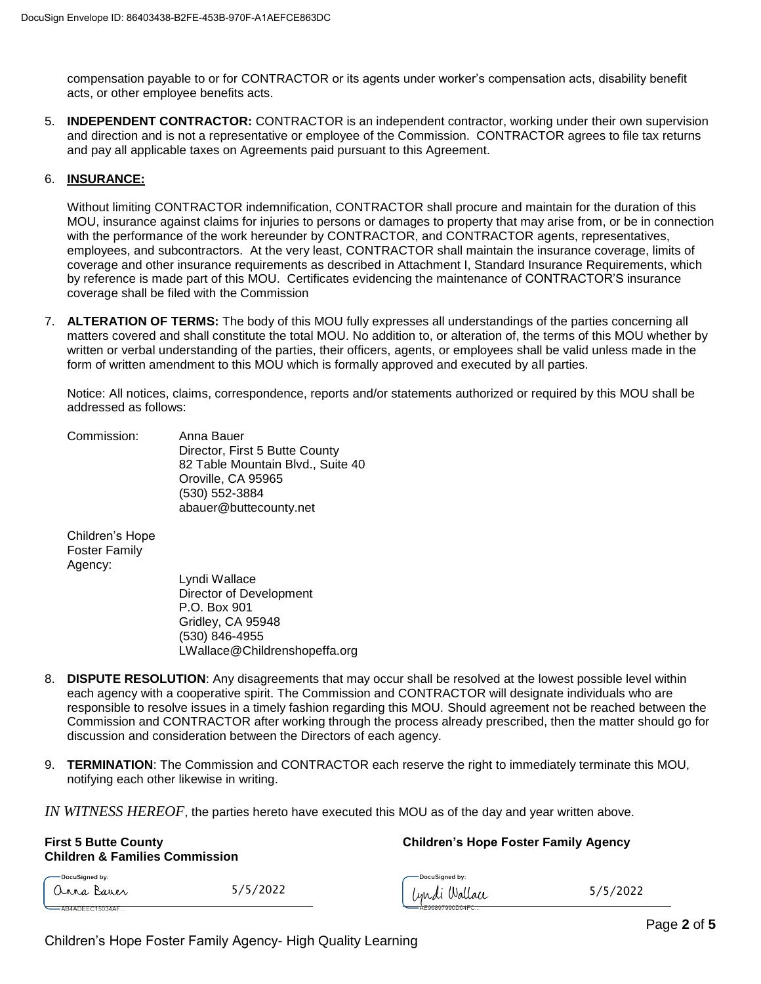compensation payable to or for CONTRACTOR or its agents under worker's compensation acts, disability benefit acts, or other employee benefits acts.

5. **INDEPENDENT CONTRACTOR:** CONTRACTOR is an independent contractor, working under their own supervision and direction and is not a representative or employee of the Commission. CONTRACTOR agrees to file tax returns and pay all applicable taxes on Agreements paid pursuant to this Agreement.

#### 6. **INSURANCE:**

Without limiting CONTRACTOR indemnification, CONTRACTOR shall procure and maintain for the duration of this MOU, insurance against claims for injuries to persons or damages to property that may arise from, or be in connection with the performance of the work hereunder by CONTRACTOR, and CONTRACTOR agents, representatives, employees, and subcontractors. At the very least, CONTRACTOR shall maintain the insurance coverage, limits of coverage and other insurance requirements as described in Attachment I, Standard Insurance Requirements, which by reference is made part of this MOU. Certificates evidencing the maintenance of CONTRACTOR'S insurance coverage shall be filed with the Commission

7. **ALTERATION OF TERMS:** The body of this MOU fully expresses all understandings of the parties concerning all matters covered and shall constitute the total MOU. No addition to, or alteration of, the terms of this MOU whether by written or verbal understanding of the parties, their officers, agents, or employees shall be valid unless made in the form of written amendment to this MOU which is formally approved and executed by all parties.

Notice: All notices, claims, correspondence, reports and/or statements authorized or required by this MOU shall be addressed as follows:

Commission: Anna Bauer Director, First 5 Butte County 82 Table Mountain Blvd., Suite 40 Oroville, CA 95965 (530) 552-3884 abauer@buttecounty.net

Children's Hope Foster Family Agency:

Lyndi Wallace Director of Development P.O. Box 901 Gridley, CA 95948 (530) 846-4955 LWallace@Childrenshopeffa.org

- 8. **DISPUTE RESOLUTION**: Any disagreements that may occur shall be resolved at the lowest possible level within each agency with a cooperative spirit. The Commission and CONTRACTOR will designate individuals who are responsible to resolve issues in a timely fashion regarding this MOU. Should agreement not be reached between the Commission and CONTRACTOR after working through the process already prescribed, then the matter should go for discussion and consideration between the Directors of each agency.
- 9. **TERMINATION**: The Commission and CONTRACTOR each reserve the right to immediately terminate this MOU, notifying each other likewise in writing.

*IN WITNESS HEREOF*, the parties hereto have executed this MOU as of the day and year written above.

**First 5 Butte County Children's Hope Foster Family Agency**

| <b>Children &amp; Families Commission</b> |          |                                   |          |
|-------------------------------------------|----------|-----------------------------------|----------|
| — DocuSigned by:<br>anna Bauer            | 5/5/2022 | — DocuSigned by:<br>lyndi Wallace | 5/5/2022 |
| $-$ AB4ADEEC15034AF                       |          | <del>AE96897990D04FC</del>        |          |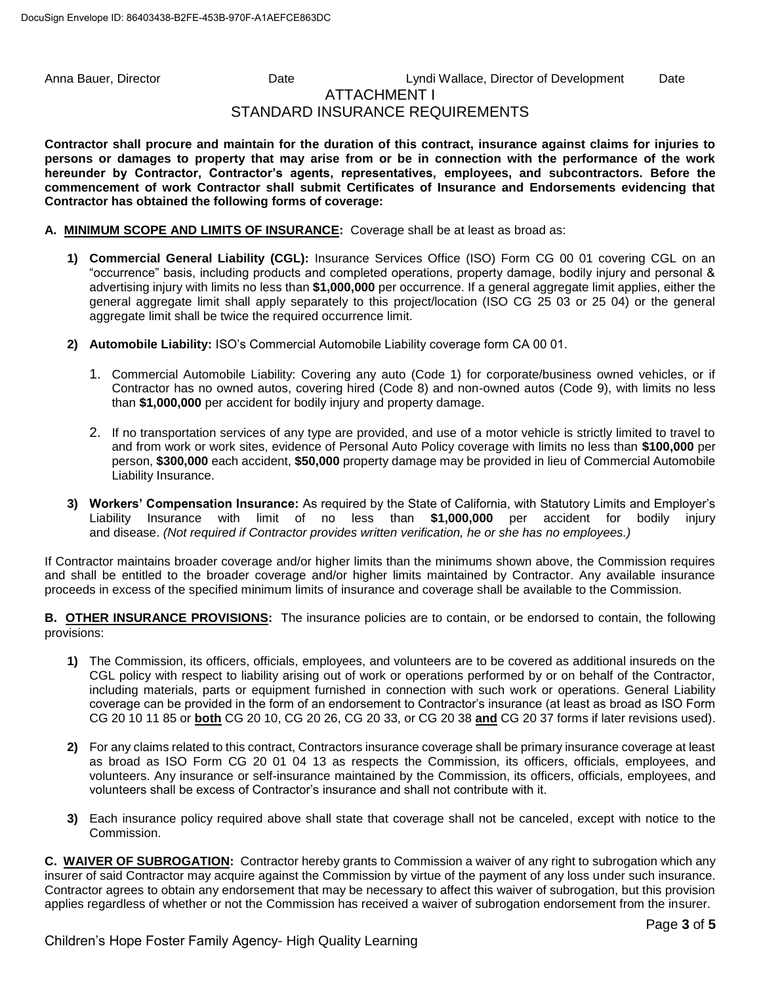# Anna Bauer, Director **Calculation Cate** Cate Lyndi Wallace, Director of Development Date ATTACHMENT I STANDARD INSURANCE REQUIREMENTS

**Contractor shall procure and maintain for the duration of this contract, insurance against claims for injuries to persons or damages to property that may arise from or be in connection with the performance of the work hereunder by Contractor, Contractor's agents, representatives, employees, and subcontractors. Before the commencement of work Contractor shall submit Certificates of Insurance and Endorsements evidencing that Contractor has obtained the following forms of coverage:**

#### **A. MINIMUM SCOPE AND LIMITS OF INSURANCE:** Coverage shall be at least as broad as:

- **1) Commercial General Liability (CGL):** Insurance Services Office (ISO) Form CG 00 01 covering CGL on an "occurrence" basis, including products and completed operations, property damage, bodily injury and personal & advertising injury with limits no less than **\$1,000,000** per occurrence. If a general aggregate limit applies, either the general aggregate limit shall apply separately to this project/location (ISO CG 25 03 or 25 04) or the general aggregate limit shall be twice the required occurrence limit.
- **2) Automobile Liability:** ISO's Commercial Automobile Liability coverage form CA 00 01.
	- 1. Commercial Automobile Liability: Covering any auto (Code 1) for corporate/business owned vehicles, or if Contractor has no owned autos, covering hired (Code 8) and non-owned autos (Code 9), with limits no less than **\$1,000,000** per accident for bodily injury and property damage.
	- 2. If no transportation services of any type are provided, and use of a motor vehicle is strictly limited to travel to and from work or work sites, evidence of Personal Auto Policy coverage with limits no less than **\$100,000** per person, **\$300,000** each accident, **\$50,000** property damage may be provided in lieu of Commercial Automobile Liability Insurance.
- **3) Workers' Compensation Insurance:** As required by the State of California, with Statutory Limits and Employer's Liability Insurance with limit of no less than **\$1,000,000** per accident for bodily injury and disease. *(Not required if Contractor provides written verification, he or she has no employees.)*

If Contractor maintains broader coverage and/or higher limits than the minimums shown above, the Commission requires and shall be entitled to the broader coverage and/or higher limits maintained by Contractor. Any available insurance proceeds in excess of the specified minimum limits of insurance and coverage shall be available to the Commission.

**B. OTHER INSURANCE PROVISIONS:** The insurance policies are to contain, or be endorsed to contain, the following provisions:

- **1)** The Commission, its officers, officials, employees, and volunteers are to be covered as additional insureds on the CGL policy with respect to liability arising out of work or operations performed by or on behalf of the Contractor, including materials, parts or equipment furnished in connection with such work or operations. General Liability coverage can be provided in the form of an endorsement to Contractor's insurance (at least as broad as ISO Form CG 20 10 11 85 or **both** CG 20 10, CG 20 26, CG 20 33, or CG 20 38 **and** CG 20 37 forms if later revisions used).
- **2)** For any claims related to this contract, Contractors insurance coverage shall be primary insurance coverage at least as broad as ISO Form CG 20 01 04 13 as respects the Commission, its officers, officials, employees, and volunteers. Any insurance or self-insurance maintained by the Commission, its officers, officials, employees, and volunteers shall be excess of Contractor's insurance and shall not contribute with it.
- **3)** Each insurance policy required above shall state that coverage shall not be canceled, except with notice to the Commission.

**C. WAIVER OF SUBROGATION:** Contractor hereby grants to Commission a waiver of any right to subrogation which any insurer of said Contractor may acquire against the Commission by virtue of the payment of any loss under such insurance. Contractor agrees to obtain any endorsement that may be necessary to affect this waiver of subrogation, but this provision applies regardless of whether or not the Commission has received a waiver of subrogation endorsement from the insurer.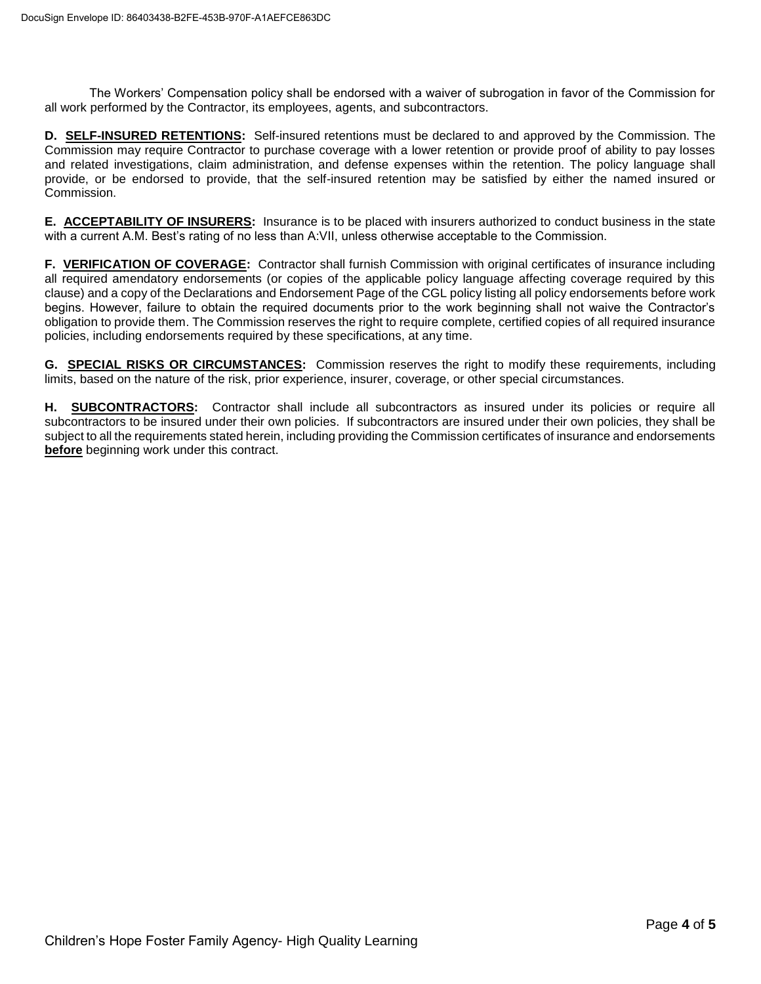The Workers' Compensation policy shall be endorsed with a waiver of subrogation in favor of the Commission for all work performed by the Contractor, its employees, agents, and subcontractors.

**D. SELF-INSURED RETENTIONS:** Self-insured retentions must be declared to and approved by the Commission. The Commission may require Contractor to purchase coverage with a lower retention or provide proof of ability to pay losses and related investigations, claim administration, and defense expenses within the retention. The policy language shall provide, or be endorsed to provide, that the self-insured retention may be satisfied by either the named insured or Commission.

**E. ACCEPTABILITY OF INSURERS:** Insurance is to be placed with insurers authorized to conduct business in the state with a current A.M. Best's rating of no less than A:VII, unless otherwise acceptable to the Commission.

**F. VERIFICATION OF COVERAGE:** Contractor shall furnish Commission with original certificates of insurance including all required amendatory endorsements (or copies of the applicable policy language affecting coverage required by this clause) and a copy of the Declarations and Endorsement Page of the CGL policy listing all policy endorsements before work begins. However, failure to obtain the required documents prior to the work beginning shall not waive the Contractor's obligation to provide them. The Commission reserves the right to require complete, certified copies of all required insurance policies, including endorsements required by these specifications, at any time.

**G. SPECIAL RISKS OR CIRCUMSTANCES:** Commission reserves the right to modify these requirements, including limits, based on the nature of the risk, prior experience, insurer, coverage, or other special circumstances.

**H. SUBCONTRACTORS:** Contractor shall include all subcontractors as insured under its policies or require all subcontractors to be insured under their own policies. If subcontractors are insured under their own policies, they shall be subject to all the requirements stated herein, including providing the Commission certificates of insurance and endorsements **before** beginning work under this contract.